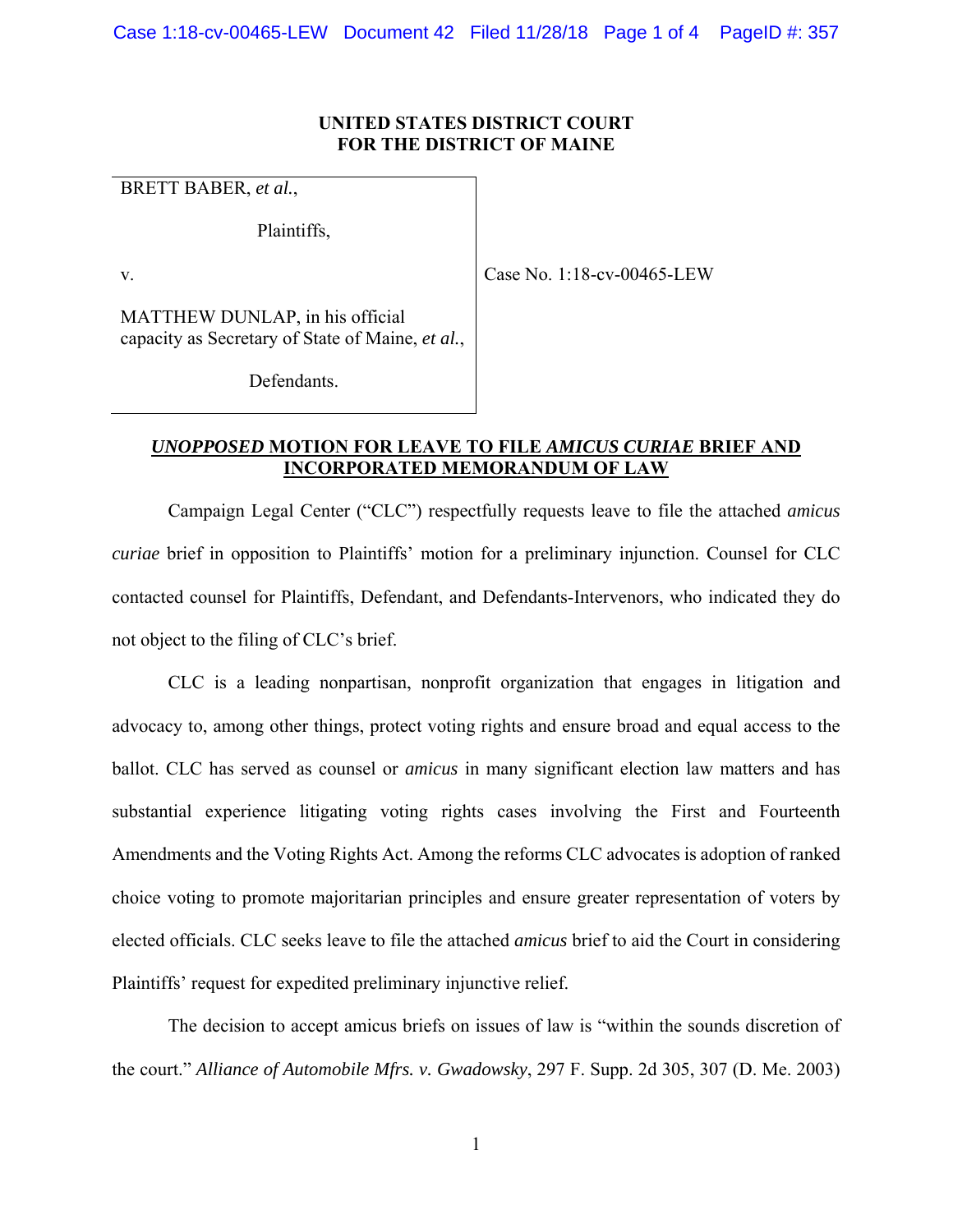### **UNITED STATES DISTRICT COURT FOR THE DISTRICT OF MAINE**

BRETT BABER, *et al.*,

Plaintiffs,

v.

Case No. 1:18-cv-00465-LEW

MATTHEW DUNLAP, in his official capacity as Secretary of State of Maine, *et al.*,

Defendants.

## *UNOPPOSED* **MOTION FOR LEAVE TO FILE** *AMICUS CURIAE* **BRIEF AND INCORPORATED MEMORANDUM OF LAW**

 Campaign Legal Center ("CLC") respectfully requests leave to file the attached *amicus curiae* brief in opposition to Plaintiffs' motion for a preliminary injunction. Counsel for CLC contacted counsel for Plaintiffs, Defendant, and Defendants-Intervenors, who indicated they do not object to the filing of CLC's brief.

 CLC is a leading nonpartisan, nonprofit organization that engages in litigation and advocacy to, among other things, protect voting rights and ensure broad and equal access to the ballot. CLC has served as counsel or *amicus* in many significant election law matters and has substantial experience litigating voting rights cases involving the First and Fourteenth Amendments and the Voting Rights Act. Among the reforms CLC advocates is adoption of ranked choice voting to promote majoritarian principles and ensure greater representation of voters by elected officials. CLC seeks leave to file the attached *amicus* brief to aid the Court in considering Plaintiffs' request for expedited preliminary injunctive relief.

 The decision to accept amicus briefs on issues of law is "within the sounds discretion of the court." *Alliance of Automobile Mfrs. v. Gwadowsky*, 297 F. Supp. 2d 305, 307 (D. Me. 2003)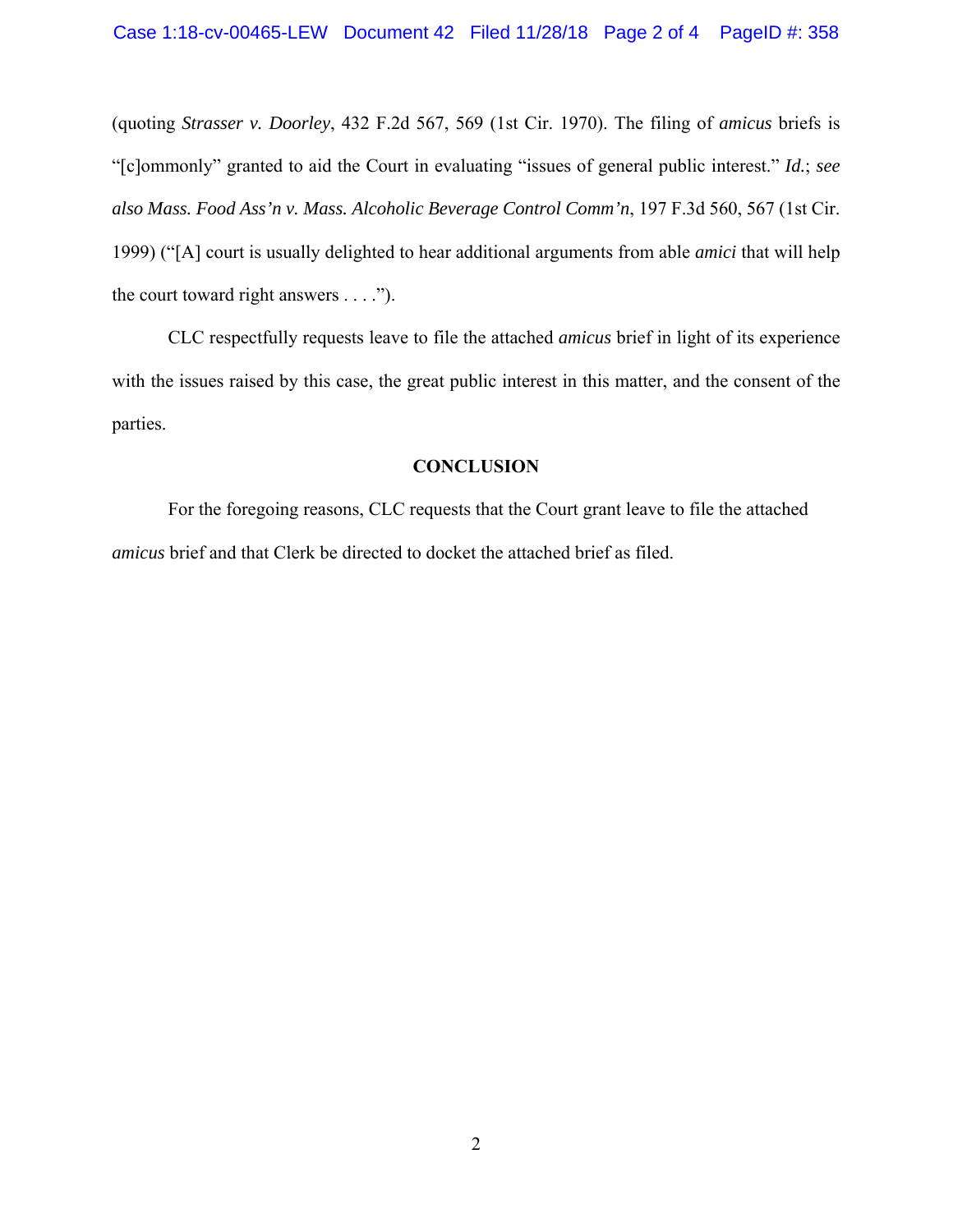(quoting *Strasser v. Doorley*, 432 F.2d 567, 569 (1st Cir. 1970). The filing of *amicus* briefs is "[c]ommonly" granted to aid the Court in evaluating "issues of general public interest." *Id.*; *see also Mass. Food Ass'n v. Mass. Alcoholic Beverage Control Comm'n*, 197 F.3d 560, 567 (1st Cir. 1999) ("[A] court is usually delighted to hear additional arguments from able *amici* that will help the court toward right answers . . . .").

 CLC respectfully requests leave to file the attached *amicus* brief in light of its experience with the issues raised by this case, the great public interest in this matter, and the consent of the parties.

### **CONCLUSION**

 For the foregoing reasons, CLC requests that the Court grant leave to file the attached *amicus* brief and that Clerk be directed to docket the attached brief as filed.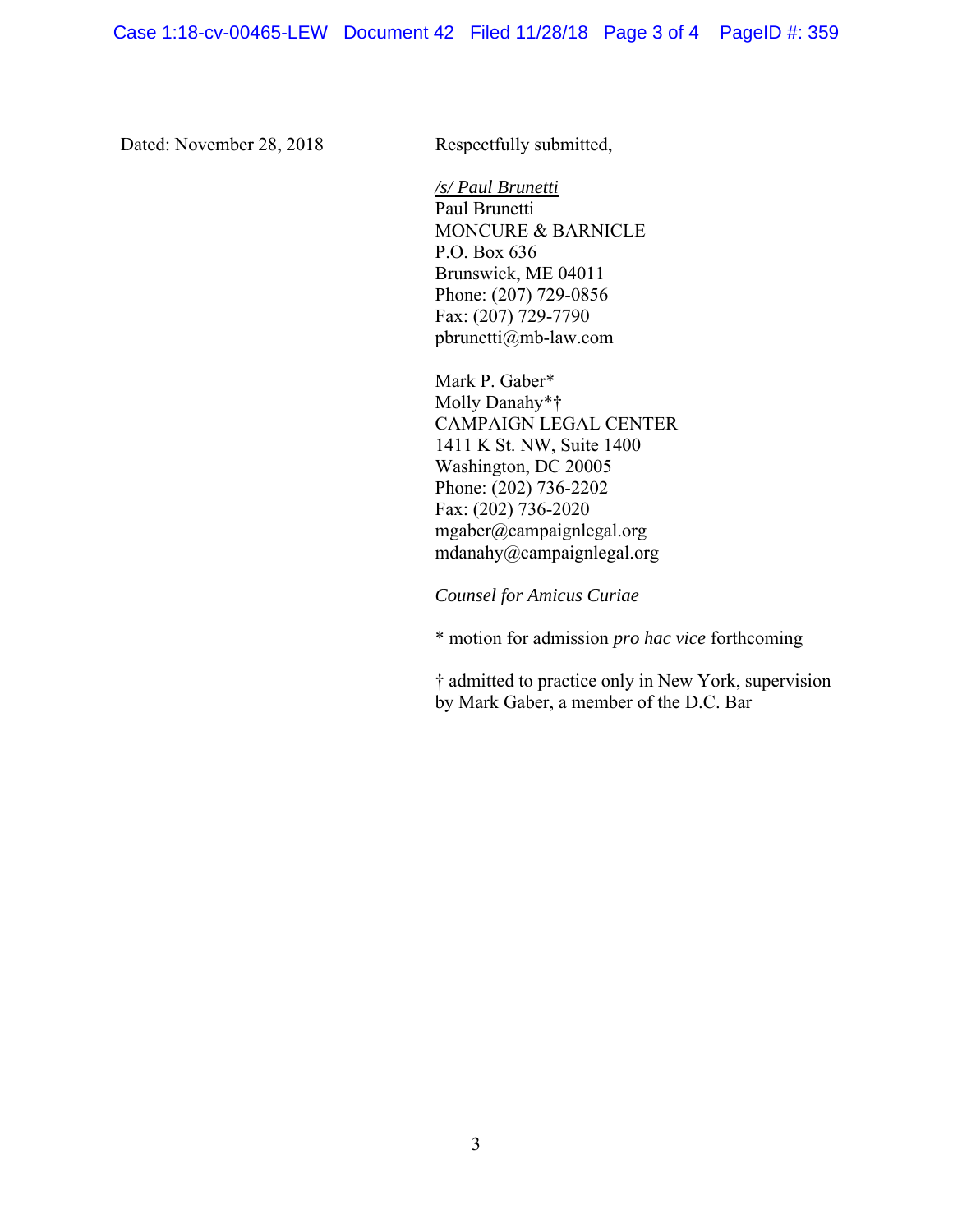Dated: November 28, 2018 Respectfully submitted,

*/s/ Paul Brunetti* Paul Brunetti MONCURE & BARNICLE P.O. Box 636 Brunswick, ME 04011 Phone: (207) 729-0856 Fax: (207) 729-7790 pbrunetti@mb-law.com

Mark P. Gaber\* Molly Danahy\*† CAMPAIGN LEGAL CENTER 1411 K St. NW, Suite 1400 Washington, DC 20005 Phone: (202) 736-2202 Fax: (202) 736-2020 mgaber@campaignlegal.org mdanahy@campaignlegal.org

*Counsel for Amicus Curiae* 

\* motion for admission *pro hac vice* forthcoming

† admitted to practice only in New York, supervision by Mark Gaber, a member of the D.C. Bar